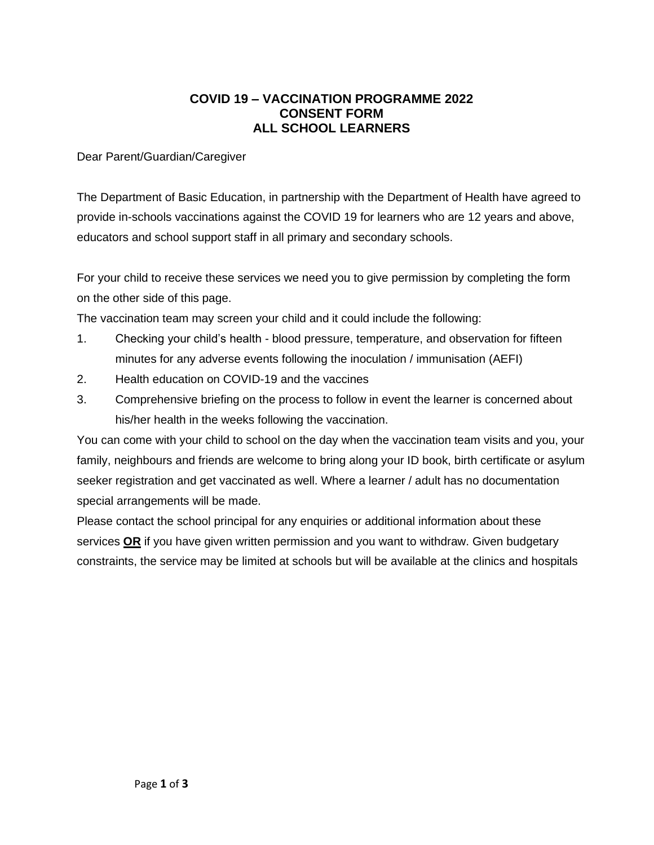## **COVID 19 – VACCINATION PROGRAMME 2022 CONSENT FORM ALL SCHOOL LEARNERS**

Dear Parent/Guardian/Caregiver

The Department of Basic Education, in partnership with the Department of Health have agreed to provide in-schools vaccinations against the COVID 19 for learners who are 12 years and above, educators and school support staff in all primary and secondary schools.

For your child to receive these services we need you to give permission by completing the form on the other side of this page.

The vaccination team may screen your child and it could include the following:

- 1. Checking your child's health blood pressure, temperature, and observation for fifteen minutes for any adverse events following the inoculation / immunisation (AEFI)
- 2. Health education on COVID-19 and the vaccines
- 3. Comprehensive briefing on the process to follow in event the learner is concerned about his/her health in the weeks following the vaccination.

You can come with your child to school on the day when the vaccination team visits and you, your family, neighbours and friends are welcome to bring along your ID book, birth certificate or asylum seeker registration and get vaccinated as well. Where a learner / adult has no documentation special arrangements will be made.

Please contact the school principal for any enquiries or additional information about these services **OR** if you have given written permission and you want to withdraw. Given budgetary constraints, the service may be limited at schools but will be available at the clinics and hospitals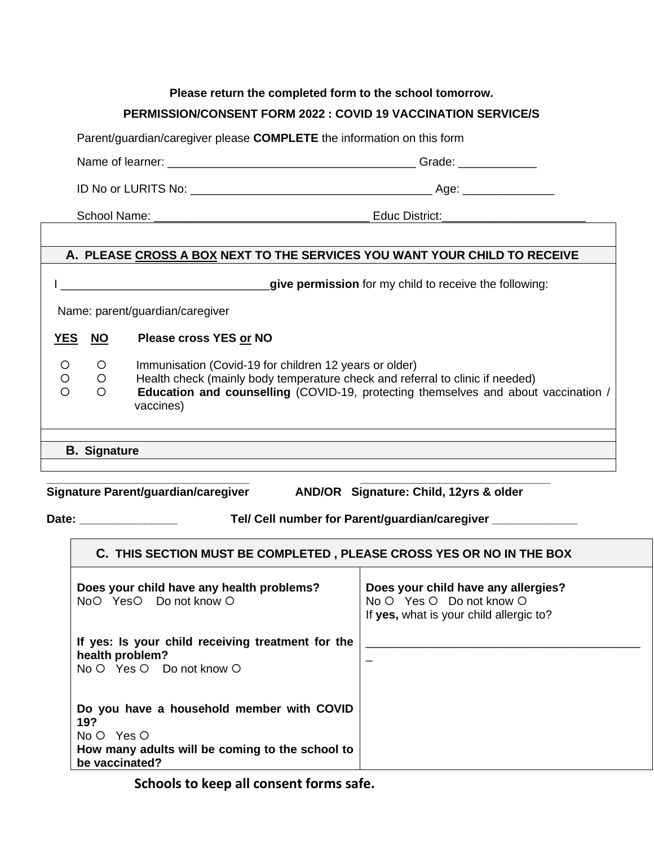## **Please return the completed form to the school tomorrow. PERMISSION/CONSENT FORM 2022 : COVID 19 VACCINATION SERVICE/S**

Parent/guardian/caregiver please **COMPLETE** the information on this form

Name of learner: \_\_\_\_\_\_\_\_\_\_\_\_\_\_\_\_\_\_\_\_\_\_\_\_\_\_\_\_\_\_\_\_\_\_\_\_\_\_ Grade: \_\_\_\_\_\_\_\_\_\_\_\_

ID No or LURITS No: \_\_\_\_\_\_\_\_\_\_\_\_\_\_\_\_\_\_\_\_\_\_\_\_\_\_\_\_\_\_\_\_\_\_\_\_\_ Age: \_\_\_\_\_\_\_\_\_\_\_\_\_\_

School Name: \_\_\_\_\_\_\_\_\_\_\_\_\_\_\_\_\_\_\_\_\_\_\_\_\_\_\_\_\_\_\_\_\_ Educ District:\_\_\_\_\_\_\_\_\_\_\_\_\_\_\_\_\_\_\_\_\_\_

## **A. PLEASE CROSS A BOX NEXT TO THE SERVICES YOU WANT YOUR CHILD TO RECEIVE**

I \_\_\_\_\_\_\_\_\_\_\_\_\_\_\_\_\_\_\_\_\_\_\_\_\_\_\_\_\_\_\_\_**give permission** for my child to receive the following:

Name: parent/guardian/caregiver

**YES NO Please cross YES or NO**

- O O Immunisation (Covid-19 for children 12 years or older)
- **O b Health check (mainly body temperature check and referral to clinic if needed)**
- **Education and counselling** (COVID-19, protecting themselves and about vaccination / vaccines)
- **B. Signature**

**\_\_\_\_\_\_\_\_\_\_\_\_\_\_\_\_\_\_\_\_\_\_\_\_\_\_\_\_\_\_\_ \_\_\_\_\_\_\_\_\_\_\_\_\_\_\_\_\_\_\_\_\_\_\_\_\_\_\_\_\_ Signature Parent/guardian/caregiver AND/OR Signature: Child, 12yrs & older**

**Date: \_\_\_\_\_\_\_\_\_\_\_\_\_\_\_ Tel/ Cell number for Parent/guardian/caregiver \_\_\_\_\_\_\_\_\_\_\_\_\_**

| C. THIS SECTION MUST BE COMPLETED, PLEASE CROSS YES OR NO IN THE BOX                                                                  |                                                                                                            |
|---------------------------------------------------------------------------------------------------------------------------------------|------------------------------------------------------------------------------------------------------------|
| Does your child have any health problems?<br>NoO YesO Do not know O                                                                   | Does your child have any allergies?<br>No O Yes O Do not know O<br>If yes, what is your child allergic to? |
| If yes: Is your child receiving treatment for the<br>health problem?<br>No O Yes O Do not know O                                      |                                                                                                            |
| Do you have a household member with COVID<br>19?<br>$No O$ Yes O<br>How many adults will be coming to the school to<br>be vaccinated? |                                                                                                            |

**Schools to keep all consent forms safe.**